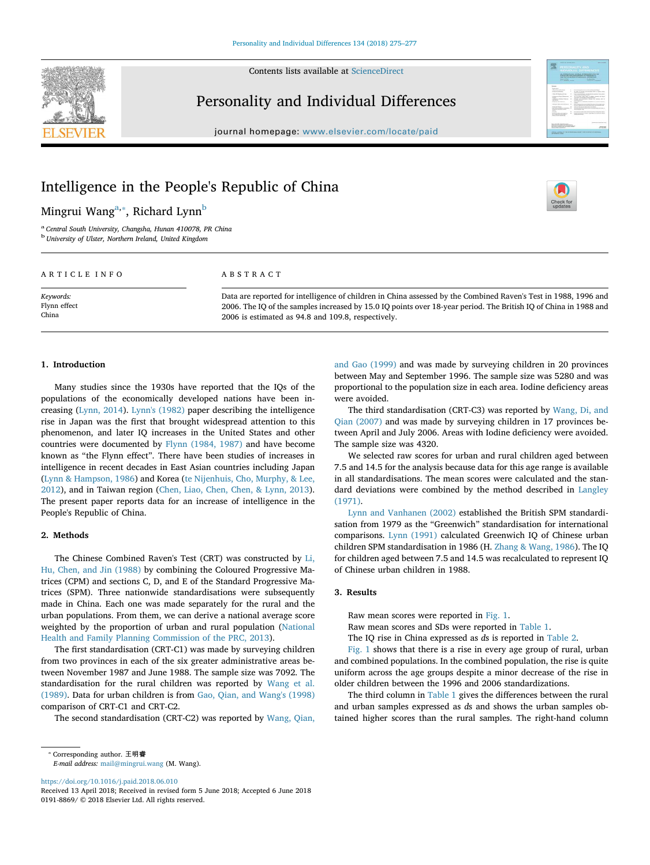Contents lists available at ScienceDirect



## Personality and Individual Differences

journal homepage: www.elsevier.com/locate/paid



T

# Intelligence in the People's Republic of China

Mingrui Wang<sup>a,</sup>\*, Richard Lynn<sup>b</sup>

a *Central South University, Changsha, Hunan 410078, PR China* b *University of Ulster, Northern Ireland, United Kingdom*

## ARTICLE INFO

*Keywords:* Flynn effect China

## ABSTRACT

Data are reported for intelligence of children in China assessed by the Combined Raven's Test in 1988, 1996 and 2006. The IQ of the samples increased by 15.0 IQ points over 18-year period. The British IQ of China in 1988 and 2006 is estimated as 94.8 and 109.8, respectively.

## 1. Introduction

Many studies since the 1930s have reported that the IQs of the populations of the economically developed nations have been increasing (Lynn, 2014). Lynn's (1982) paper describing the intelligence rise in Japan was the first that brought widespread attention to this phenomenon, and later IQ increases in the United States and other countries were documented by Flynn (1984, 1987) and have become known as "the Flynn effect". There have been studies of increases in intelligence in recent decades in East Asian countries including Japan (Lynn & Hampson, 1986) and Korea (te Nijenhuis, Cho, Murphy, & Lee, 2012), and in Taiwan region (Chen, Liao, Chen, Chen, & Lynn, 2013). The present paper reports data for an increase of intelligence in the People's Republic of China.

#### 2. Methods

The Chinese Combined Raven's Test (CRT) was constructed by Li, Hu, Chen, and Jin (1988) by combining the Coloured Progressive Matrices (CPM) and sections C, D, and E of the Standard Progressive Matrices (SPM). Three nationwide standardisations were subsequently made in China. Each one was made separately for the rural and the urban populations. From them, we can derive a national average score weighted by the proportion of urban and rural population (National Health and Family Planning Commission of the PRC, 2013).

The first standardisation (CRT-C1) was made by surveying children from two provinces in each of the six greater administrative areas between November 1987 and June 1988. The sample size was 7092. The standardisation for the rural children was reported by Wang et al. (1989). Data for urban children is from Gao, Qian, and Wang's (1998) comparison of CRT-C1 and CRT-C2.

The second standardisation (CRT-C2) was reported by Wang, Qian,

https://doi.org/10.1016/j.paid.2018.06.010

Received 13 April 2018; Received in revised form 5 June 2018; Accepted 6 June 2018 0191-8869/ © 2018 Elsevier Ltd. All rights reserved.

and Gao (1999) and was made by surveying children in 20 provinces between May and September 1996. The sample size was 5280 and was proportional to the population size in each area. Iodine deficiency areas were avoided.

The third standardisation (CRT-C3) was reported by Wang, Di, and Qian (2007) and was made by surveying children in 17 provinces between April and July 2006. Areas with Iodine deficiency were avoided. The sample size was 4320.

We selected raw scores for urban and rural children aged between 7.5 and 14.5 for the analysis because data for this age range is available in all standardisations. The mean scores were calculated and the standard deviations were combined by the method described in Langley (1971).

Lynn and Vanhanen (2002) established the British SPM standardisation from 1979 as the "Greenwich" standardisation for international comparisons. Lynn (1991) calculated Greenwich IQ of Chinese urban children SPM standardisation in 1986 (H. Zhang & Wang, 1986). The IQ for children aged between 7.5 and 14.5 was recalculated to represent IQ of Chinese urban children in 1988.

## 3. Results

Raw mean scores were reported in Fig. 1.

Raw mean scores and SDs were reported in Table 1.

The IQ rise in China expressed as *d*s is reported in Table 2.

Fig. 1 shows that there is a rise in every age group of rural, urban and combined populations. In the combined population, the rise is quite uniform across the age groups despite a minor decrease of the rise in older children between the 1996 and 2006 standardizations.

The third column in Table 1 gives the differences between the rural and urban samples expressed as *d*s and shows the urban samples obtained higher scores than the rural samples. The right-hand column

<sup>⁎</sup> Corresponding author. 王明睿 *E-mail address:* mail@mingrui.wang (M. Wang).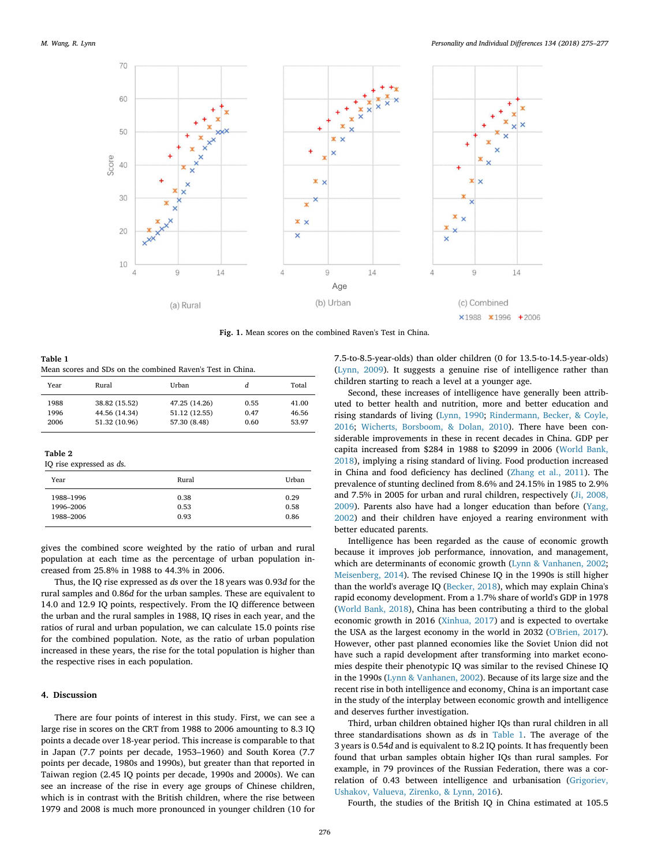

Fig. 1. Mean scores on the combined Raven's Test in China.

Table 1 Mean scores and SDs on the combined Raven's Test in China.

| Year                     | Rural         | Urban         | d    | Total |
|--------------------------|---------------|---------------|------|-------|
| 1988                     | 38.82 (15.52) | 47.25 (14.26) | 0.55 | 41.00 |
| 1996                     | 44.56 (14.34) | 51.12 (12.55) | 0.47 | 46.56 |
| 2006                     | 51.32 (10.96) | 57.30 (8.48)  | 0.60 | 53.97 |
|                          |               |               |      |       |
| Table 2                  |               |               |      |       |
| IQ rise expressed as ds. |               |               |      |       |
| Year                     |               | Rural         |      | Urban |
| 1988-1996                |               | 0.38          |      | 0.29  |
| 1996-2006                |               | 0.53          |      | 0.58  |
| 1988-2006                |               | 0.93          |      | 0.86  |
|                          |               |               |      |       |

gives the combined score weighted by the ratio of urban and rural population at each time as the percentage of urban population increased from 25.8% in 1988 to 44.3% in 2006.

Thus, the IQ rise expressed as *d*s over the 18 years was 0.93*d* for the rural samples and 0.86*d* for the urban samples. These are equivalent to 14.0 and 12.9 IQ points, respectively. From the IQ difference between the urban and the rural samples in 1988, IQ rises in each year, and the ratios of rural and urban population, we can calculate 15.0 points rise for the combined population. Note, as the ratio of urban population increased in these years, the rise for the total population is higher than the respective rises in each population.

## 4. Discussion

There are four points of interest in this study. First, we can see a large rise in scores on the CRT from 1988 to 2006 amounting to 8.3 IQ points a decade over 18-year period. This increase is comparable to that in Japan (7.7 points per decade, 1953–1960) and South Korea (7.7 points per decade, 1980s and 1990s), but greater than that reported in Taiwan region (2.45 IQ points per decade, 1990s and 2000s). We can see an increase of the rise in every age groups of Chinese children, which is in contrast with the British children, where the rise between 1979 and 2008 is much more pronounced in younger children (10 for

7.5-to-8.5-year-olds) than older children (0 for 13.5-to-14.5-year-olds) (Lynn, 2009). It suggests a genuine rise of intelligence rather than children starting to reach a level at a younger age.

Second, these increases of intelligence have generally been attributed to better health and nutrition, more and better education and rising standards of living (Lynn, 1990; Rindermann, Becker, & Coyle, 2016; Wicherts, Borsboom, & Dolan, 2010). There have been considerable improvements in these in recent decades in China. GDP per capita increased from \$284 in 1988 to \$2099 in 2006 (World Bank, 2018), implying a rising standard of living. Food production increased in China and food deficiency has declined (Zhang et al., 2011). The prevalence of stunting declined from 8.6% and 24.15% in 1985 to 2.9% and 7.5% in 2005 for urban and rural children, respectively (Ji, 2008, 2009). Parents also have had a longer education than before (Yang, 2002) and their children have enjoyed a rearing environment with better educated parents.

Intelligence has been regarded as the cause of economic growth because it improves job performance, innovation, and management, which are determinants of economic growth (Lynn & Vanhanen, 2002; Meisenberg, 2014). The revised Chinese IQ in the 1990s is still higher than the world's average IQ (Becker, 2018), which may explain China's rapid economy development. From a 1.7% share of world's GDP in 1978 (World Bank, 2018), China has been contributing a third to the global economic growth in 2016 (Xinhua, 2017) and is expected to overtake the USA as the largest economy in the world in 2032 (O'Brien, 2017). However, other past planned economies like the Soviet Union did not have such a rapid development after transforming into market economies despite their phenotypic IQ was similar to the revised Chinese IQ in the 1990s (Lynn & Vanhanen, 2002). Because of its large size and the recent rise in both intelligence and economy, China is an important case in the study of the interplay between economic growth and intelligence and deserves further investigation.

Third, urban children obtained higher IQs than rural children in all three standardisations shown as *d*s in Table 1. The average of the 3 years is 0.54*d* and is equivalent to 8.2 IQ points. It has frequently been found that urban samples obtain higher IQs than rural samples. For example, in 79 provinces of the Russian Federation, there was a correlation of 0.43 between intelligence and urbanisation (Grigoriev, Ushakov, Valueva, Zirenko, & Lynn, 2016).

Fourth, the studies of the British IQ in China estimated at 105.5